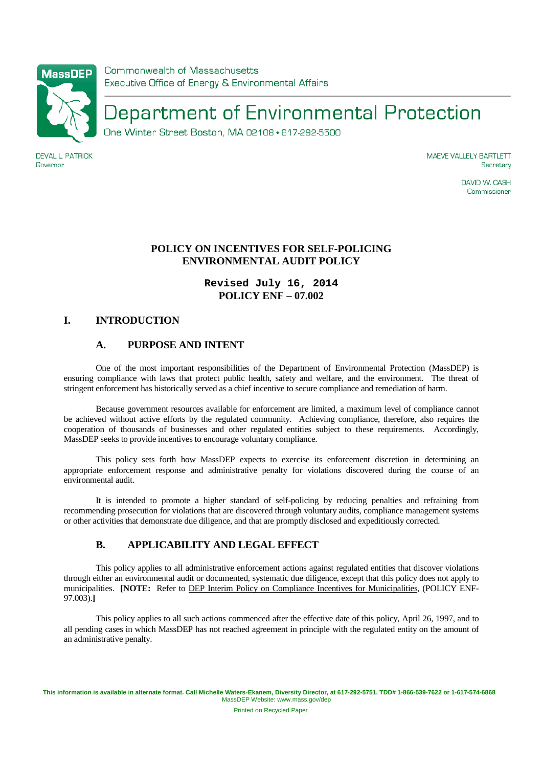

#### **DEVAL L. PATRICK** Governor

**MAEVE VALLELY BARTLETT** Secretary

> DAVID W. CASH Commissioner

## **POLICY ON INCENTIVES FOR SELF-POLICING ENVIRONMENTAL AUDIT POLICY**

# **Revised July 16, 2014 POLICY ENF – 07.002**

## **I. INTRODUCTION**

## **A. PURPOSE AND INTENT**

 One of the most important responsibilities of the Department of Environmental Protection (MassDEP) is ensuring compliance with laws that protect public health, safety and welfare, and the environment. The threat of stringent enforcement has historically served as a chief incentive to secure compliance and remediation of harm.

 Because government resources available for enforcement are limited, a maximum level of compliance cannot be achieved without active efforts by the regulated community. Achieving compliance, therefore, also requires the cooperation of thousands of businesses and other regulated entities subject to these requirements. Accordingly, MassDEP seeks to provide incentives to encourage voluntary compliance.

 This policy sets forth how MassDEP expects to exercise its enforcement discretion in determining an appropriate enforcement response and administrative penalty for violations discovered during the course of an environmental audit.

 It is intended to promote a higher standard of self-policing by reducing penalties and refraining from recommending prosecution for violations that are discovered through voluntary audits, compliance management systems or other activities that demonstrate due diligence, and that are promptly disclosed and expeditiously corrected.

## **B. APPLICABILITY AND LEGAL EFFECT**

 This policy applies to all administrative enforcement actions against regulated entities that discover violations through either an environmental audit or documented, systematic due diligence, except that this policy does not apply to municipalities. **[NOTE:** Refer to DEP Interim Policy on Compliance Incentives for Municipalities, (POLICY ENF-97.003).**]**

 This policy applies to all such actions commenced after the effective date of this policy, April 26, 1997, and to all pending cases in which MassDEP has not reached agreement in principle with the regulated entity on the amount of an administrative penalty.

Printed on Recycled Paper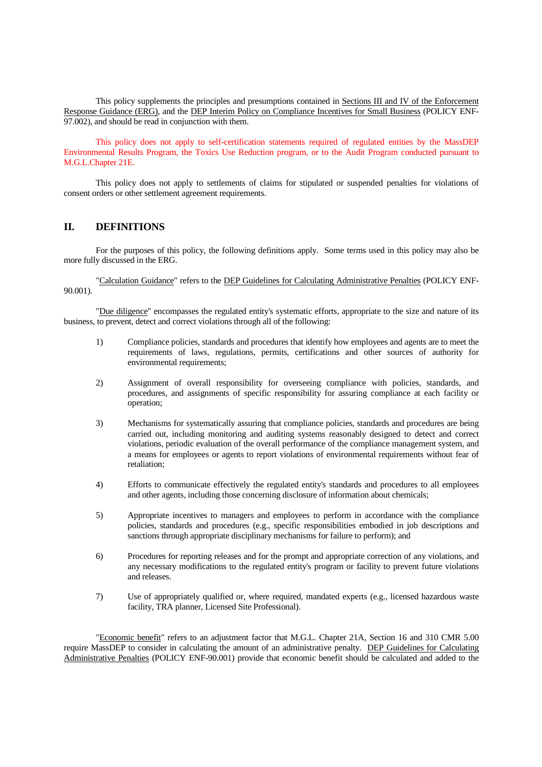This policy supplements the principles and presumptions contained in Sections III and IV of the Enforcement Response Guidance (ERG), and the DEP Interim Policy on Compliance Incentives for Small Business (POLICY ENF-97.002), and should be read in conjunction with them.

This policy does not apply to self-certification statements required of regulated entities by the MassDEP Environmental Results Program, the Toxics Use Reduction program, or to the Audit Program conducted pursuant to M.G.L.Chapter 21E.

 This policy does not apply to settlements of claims for stipulated or suspended penalties for violations of consent orders or other settlement agreement requirements.

#### **II. DEFINITIONS**

 For the purposes of this policy, the following definitions apply. Some terms used in this policy may also be more fully discussed in the ERG.

 "Calculation Guidance" refers to the DEP Guidelines for Calculating Administrative Penalties (POLICY ENF-90.001).

 "Due diligence" encompasses the regulated entity's systematic efforts, appropriate to the size and nature of its business, to prevent, detect and correct violations through all of the following:

- 1) Compliance policies, standards and procedures that identify how employees and agents are to meet the requirements of laws, regulations, permits, certifications and other sources of authority for environmental requirements;
- 2) Assignment of overall responsibility for overseeing compliance with policies, standards, and procedures, and assignments of specific responsibility for assuring compliance at each facility or operation;
- 3) Mechanisms for systematically assuring that compliance policies, standards and procedures are being carried out, including monitoring and auditing systems reasonably designed to detect and correct violations, periodic evaluation of the overall performance of the compliance management system, and a means for employees or agents to report violations of environmental requirements without fear of retaliation;
- 4) Efforts to communicate effectively the regulated entity's standards and procedures to all employees and other agents, including those concerning disclosure of information about chemicals;
- 5) Appropriate incentives to managers and employees to perform in accordance with the compliance policies, standards and procedures (e.g., specific responsibilities embodied in job descriptions and sanctions through appropriate disciplinary mechanisms for failure to perform); and
- 6) Procedures for reporting releases and for the prompt and appropriate correction of any violations, and any necessary modifications to the regulated entity's program or facility to prevent future violations and releases.
- 7) Use of appropriately qualified or, where required, mandated experts (e.g., licensed hazardous waste facility, TRA planner, Licensed Site Professional).

 "Economic benefit" refers to an adjustment factor that M.G.L. Chapter 21A, Section 16 and 310 CMR 5.00 require MassDEP to consider in calculating the amount of an administrative penalty. DEP Guidelines for Calculating Administrative Penalties (POLICY ENF-90.001) provide that economic benefit should be calculated and added to the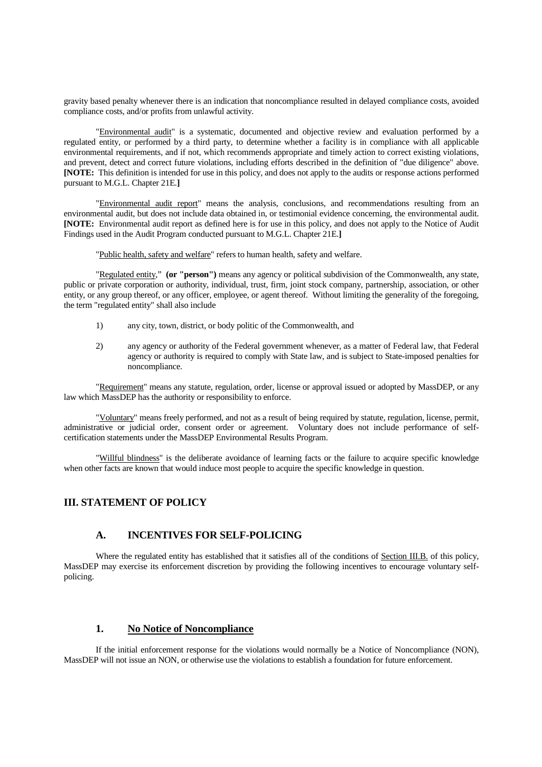gravity based penalty whenever there is an indication that noncompliance resulted in delayed compliance costs, avoided compliance costs, and/or profits from unlawful activity.

 "Environmental audit" is a systematic, documented and objective review and evaluation performed by a regulated entity, or performed by a third party, to determine whether a facility is in compliance with all applicable environmental requirements, and if not, which recommends appropriate and timely action to correct existing violations, and prevent, detect and correct future violations, including efforts described in the definition of "due diligence" above. **[NOTE:** This definition is intended for use in this policy, and does not apply to the audits or response actions performed pursuant to M.G.L. Chapter 21E.**]**

"Environmental audit report" means the analysis, conclusions, and recommendations resulting from an environmental audit, but does not include data obtained in, or testimonial evidence concerning, the environmental audit. **[NOTE:** Environmental audit report as defined here is for use in this policy, and does not apply to the Notice of Audit Findings used in the Audit Program conducted pursuant to M.G.L. Chapter 21E.**]**

"Public health, safety and welfare" refers to human health, safety and welfare.

 "Regulated entity," **(or "person")** means any agency or political subdivision of the Commonwealth, any state, public or private corporation or authority, individual, trust, firm, joint stock company, partnership, association, or other entity, or any group thereof, or any officer, employee, or agent thereof. Without limiting the generality of the foregoing, the term "regulated entity" shall also include

- 1) any city, town, district, or body politic of the Commonwealth, and
- 2) any agency or authority of the Federal government whenever, as a matter of Federal law, that Federal agency or authority is required to comply with State law, and is subject to State-imposed penalties for noncompliance.

"Requirement" means any statute, regulation, order, license or approval issued or adopted by MassDEP, or any law which MassDEP has the authority or responsibility to enforce.

 "Voluntary" means freely performed, and not as a result of being required by statute, regulation, license, permit, administrative or judicial order, consent order or agreement. Voluntary does not include performance of selfcertification statements under the MassDEP Environmental Results Program.

 "Willful blindness" is the deliberate avoidance of learning facts or the failure to acquire specific knowledge when other facts are known that would induce most people to acquire the specific knowledge in question.

## **III. STATEMENT OF POLICY**

### **A. INCENTIVES FOR SELF-POLICING**

Where the regulated entity has established that it satisfies all of the conditions of Section III.B. of this policy, MassDEP may exercise its enforcement discretion by providing the following incentives to encourage voluntary selfpolicing.

### **1. No Notice of Noncompliance**

 If the initial enforcement response for the violations would normally be a Notice of Noncompliance (NON), MassDEP will not issue an NON, or otherwise use the violations to establish a foundation for future enforcement.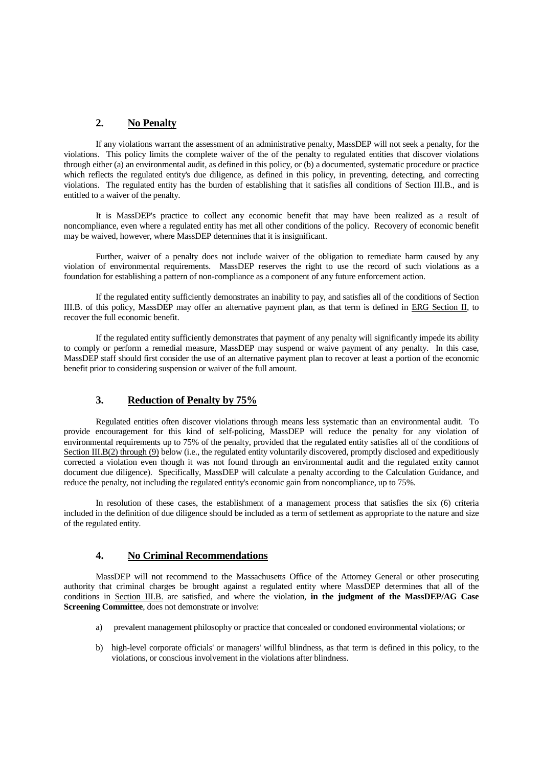#### **2. No Penalty**

 If any violations warrant the assessment of an administrative penalty, MassDEP will not seek a penalty, for the violations. This policy limits the complete waiver of the of the penalty to regulated entities that discover violations through either (a) an environmental audit, as defined in this policy, or (b) a documented, systematic procedure or practice which reflects the regulated entity's due diligence, as defined in this policy, in preventing, detecting, and correcting violations. The regulated entity has the burden of establishing that it satisfies all conditions of Section III.B., and is entitled to a waiver of the penalty.

 It is MassDEP's practice to collect any economic benefit that may have been realized as a result of noncompliance, even where a regulated entity has met all other conditions of the policy. Recovery of economic benefit may be waived, however, where MassDEP determines that it is insignificant.

 Further, waiver of a penalty does not include waiver of the obligation to remediate harm caused by any violation of environmental requirements. MassDEP reserves the right to use the record of such violations as a foundation for establishing a pattern of non-compliance as a component of any future enforcement action.

 If the regulated entity sufficiently demonstrates an inability to pay, and satisfies all of the conditions of Section III.B. of this policy, MassDEP may offer an alternative payment plan, as that term is defined in ERG Section II, to recover the full economic benefit.

 If the regulated entity sufficiently demonstrates that payment of any penalty will significantly impede its ability to comply or perform a remedial measure, MassDEP may suspend or waive payment of any penalty. In this case, MassDEP staff should first consider the use of an alternative payment plan to recover at least a portion of the economic benefit prior to considering suspension or waiver of the full amount.

### **3. Reduction of Penalty by 75%**

 Regulated entities often discover violations through means less systematic than an environmental audit. To provide encouragement for this kind of self-policing, MassDEP will reduce the penalty for any violation of environmental requirements up to 75% of the penalty, provided that the regulated entity satisfies all of the conditions of Section III.B(2) through (9) below (i.e., the regulated entity voluntarily discovered, promptly disclosed and expeditiously corrected a violation even though it was not found through an environmental audit and the regulated entity cannot document due diligence). Specifically, MassDEP will calculate a penalty according to the Calculation Guidance, and reduce the penalty, not including the regulated entity's economic gain from noncompliance, up to 75%.

 In resolution of these cases, the establishment of a management process that satisfies the six (6) criteria included in the definition of due diligence should be included as a term of settlement as appropriate to the nature and size of the regulated entity.

#### **4. No Criminal Recommendations**

 MassDEP will not recommend to the Massachusetts Office of the Attorney General or other prosecuting authority that criminal charges be brought against a regulated entity where MassDEP determines that all of the conditions in Section III.B. are satisfied, and where the violation, **in the judgment of the MassDEP/AG Case Screening Committee**, does not demonstrate or involve:

- a) prevalent management philosophy or practice that concealed or condoned environmental violations; or
- b) high-level corporate officials' or managers' willful blindness, as that term is defined in this policy, to the violations, or conscious involvement in the violations after blindness.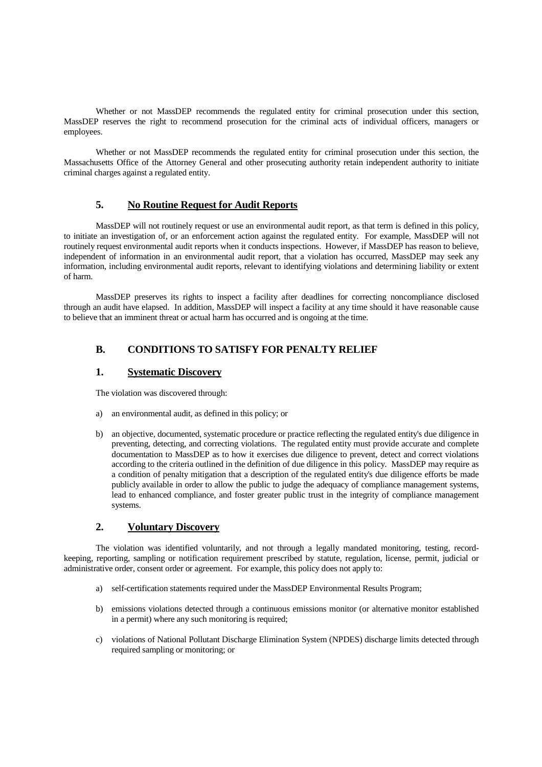Whether or not MassDEP recommends the regulated entity for criminal prosecution under this section, MassDEP reserves the right to recommend prosecution for the criminal acts of individual officers, managers or employees.

 Whether or not MassDEP recommends the regulated entity for criminal prosecution under this section, the Massachusetts Office of the Attorney General and other prosecuting authority retain independent authority to initiate criminal charges against a regulated entity.

## **5. No Routine Request for Audit Reports**

 MassDEP will not routinely request or use an environmental audit report, as that term is defined in this policy, to initiate an investigation of, or an enforcement action against the regulated entity. For example, MassDEP will not routinely request environmental audit reports when it conducts inspections. However, if MassDEP has reason to believe, independent of information in an environmental audit report, that a violation has occurred, MassDEP may seek any information, including environmental audit reports, relevant to identifying violations and determining liability or extent of harm.

 MassDEP preserves its rights to inspect a facility after deadlines for correcting noncompliance disclosed through an audit have elapsed. In addition, MassDEP will inspect a facility at any time should it have reasonable cause to believe that an imminent threat or actual harm has occurred and is ongoing at the time.

## **B. CONDITIONS TO SATISFY FOR PENALTY RELIEF**

#### **1. Systematic Discovery**

The violation was discovered through:

- a) an environmental audit, as defined in this policy; or
- b) an objective, documented, systematic procedure or practice reflecting the regulated entity's due diligence in preventing, detecting, and correcting violations. The regulated entity must provide accurate and complete documentation to MassDEP as to how it exercises due diligence to prevent, detect and correct violations according to the criteria outlined in the definition of due diligence in this policy. MassDEP may require as a condition of penalty mitigation that a description of the regulated entity's due diligence efforts be made publicly available in order to allow the public to judge the adequacy of compliance management systems, lead to enhanced compliance, and foster greater public trust in the integrity of compliance management systems.

### **2. Voluntary Discovery**

 The violation was identified voluntarily, and not through a legally mandated monitoring, testing, recordkeeping, reporting, sampling or notification requirement prescribed by statute, regulation, license, permit, judicial or administrative order, consent order or agreement. For example, this policy does not apply to:

- a) self-certification statements required under the MassDEP Environmental Results Program;
- b) emissions violations detected through a continuous emissions monitor (or alternative monitor established in a permit) where any such monitoring is required;
- c) violations of National Pollutant Discharge Elimination System (NPDES) discharge limits detected through required sampling or monitoring; or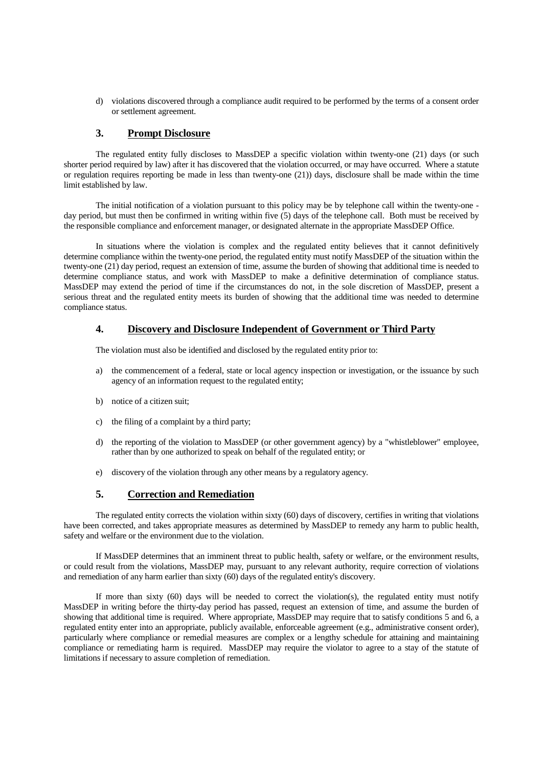d) violations discovered through a compliance audit required to be performed by the terms of a consent order or settlement agreement.

### **3. Prompt Disclosure**

 The regulated entity fully discloses to MassDEP a specific violation within twenty-one (21) days (or such shorter period required by law) after it has discovered that the violation occurred, or may have occurred. Where a statute or regulation requires reporting be made in less than twenty-one (21)) days, disclosure shall be made within the time limit established by law.

 The initial notification of a violation pursuant to this policy may be by telephone call within the twenty-one day period, but must then be confirmed in writing within five (5) days of the telephone call. Both must be received by the responsible compliance and enforcement manager, or designated alternate in the appropriate MassDEP Office.

 In situations where the violation is complex and the regulated entity believes that it cannot definitively determine compliance within the twenty-one period, the regulated entity must notify MassDEP of the situation within the twenty-one (21) day period, request an extension of time, assume the burden of showing that additional time is needed to determine compliance status, and work with MassDEP to make a definitive determination of compliance status. MassDEP may extend the period of time if the circumstances do not, in the sole discretion of MassDEP, present a serious threat and the regulated entity meets its burden of showing that the additional time was needed to determine compliance status.

#### **4. Discovery and Disclosure Independent of Government or Third Party**

The violation must also be identified and disclosed by the regulated entity prior to:

- a) the commencement of a federal, state or local agency inspection or investigation, or the issuance by such agency of an information request to the regulated entity;
- b) notice of a citizen suit;
- c) the filing of a complaint by a third party;
- d) the reporting of the violation to MassDEP (or other government agency) by a "whistleblower" employee, rather than by one authorized to speak on behalf of the regulated entity; or
- e) discovery of the violation through any other means by a regulatory agency.

### **5. Correction and Remediation**

 The regulated entity corrects the violation within sixty (60) days of discovery, certifies in writing that violations have been corrected, and takes appropriate measures as determined by MassDEP to remedy any harm to public health, safety and welfare or the environment due to the violation.

 If MassDEP determines that an imminent threat to public health, safety or welfare, or the environment results, or could result from the violations, MassDEP may, pursuant to any relevant authority, require correction of violations and remediation of any harm earlier than sixty (60) days of the regulated entity's discovery.

 If more than sixty (60) days will be needed to correct the violation(s), the regulated entity must notify MassDEP in writing before the thirty-day period has passed, request an extension of time, and assume the burden of showing that additional time is required. Where appropriate, MassDEP may require that to satisfy conditions 5 and 6, a regulated entity enter into an appropriate, publicly available, enforceable agreement (e.g., administrative consent order), particularly where compliance or remedial measures are complex or a lengthy schedule for attaining and maintaining compliance or remediating harm is required. MassDEP may require the violator to agree to a stay of the statute of limitations if necessary to assure completion of remediation.